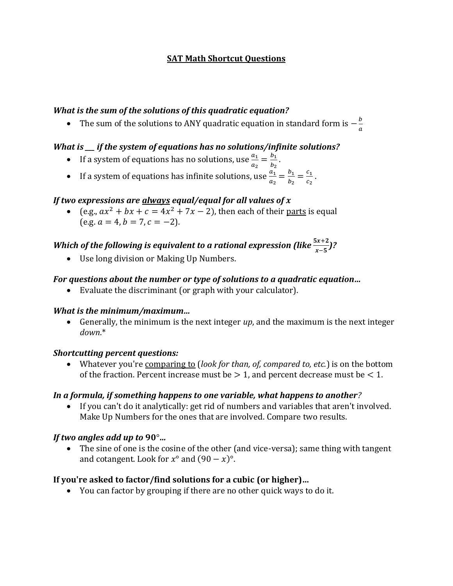# **SAT Math Shortcut Questions**

# *What is the sum of the solutions of this quadratic equation?*

• The sum of the solutions to ANY quadratic equation in standard form is  $-\frac{b}{b}$  $\overline{a}$ 

# *What is \_\_\_ if the system of equations has no solutions/infinite solutions?*

- If a system of equations has no solutions, use  $\frac{a_1}{a_2} = \frac{b_1}{b_2}$  $\frac{b_1}{b_2}$  .
- If a system of equations has infinite solutions, use  $\frac{a_1}{a_2} = \frac{b_1}{b_2}$  $rac{b_1}{b_2} = \frac{c_1}{c_2}$  $\frac{\iota_1}{c_2}$  .

# *If two expressions are always equal/equal for all values of*

• (e.g.,  $ax^2 + bx + c = 4x^2 + 7x - 2$ ), then each of their parts is equal  $(e.g. a = 4, b = 7, c = -2).$ 

# Which of the following is equivalent to a rational expression (like  $\frac{5x+2}{x-5}$ )?

• Use long division or Making Up Numbers.

# *For questions about the number or type of solutions to a quadratic equation…*

• Evaluate the discriminant (or graph with your calculator).

# *What is the minimum/maximum…*

• Generally, the minimum is the next integer *up*, and the maximum is the next integer *down*.\*

# *Shortcutting percent questions:*

• Whatever you're comparing to (*look for than, of, compared to, etc.*) is on the bottom of the fraction. Percent increase must be  $> 1$ , and percent decrease must be  $< 1$ .

# *In a formula, if something happens to one variable, what happens to another?*

• If you can't do it analytically: get rid of numbers and variables that aren't involved. Make Up Numbers for the ones that are involved. Compare two results.

# *If two angles add up to* 90°*…*

• The sine of one is the cosine of the other (and vice-versa); same thing with tangent and cotangent. Look for  $x^{\circ}$  and  $(90 - x)^{\circ}$ .

# **If you're asked to factor/find solutions for a cubic (or higher)…**

• You can factor by grouping if there are no other quick ways to do it.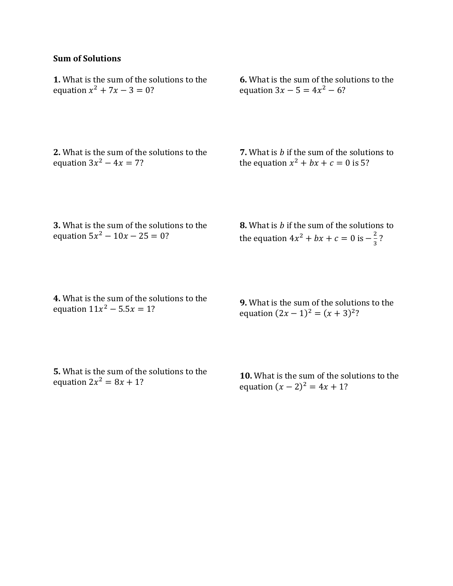# **Sum of Solutions**

**1.** What is the sum of the solutions to the equation  $x^2 + 7x - 3 = 0$ ?

**6.** What is the sum of the solutions to the equation  $3x - 5 = 4x^2 - 6$ ?

**2.** What is the sum of the solutions to the equation  $3x^2 - 4x = 7$ ?

**7.** What is *b* if the sum of the solutions to the equation  $x^2 + bx + c = 0$  is 5?

**3.** What is the sum of the solutions to the equation  $5x^2 - 10x - 25 = 0$ ?

**8.** What is *b* if the sum of the solutions to the equation  $4x^2 + bx + c = 0$  is  $-\frac{2}{3}$  $\frac{2}{3}$  ?

**4.** What is the sum of the solutions to the equation  $11x^2 - 5.5x = 1?$ 

**9.** What is the sum of the solutions to the equation  $(2x - 1)^2 = (x + 3)^2$ ?

**5.** What is the sum of the solutions to the equation  $2x^2 = 8x + 1$ ?

**10.** What is the sum of the solutions to the equation  $(x - 2)^2 = 4x + 1$ ?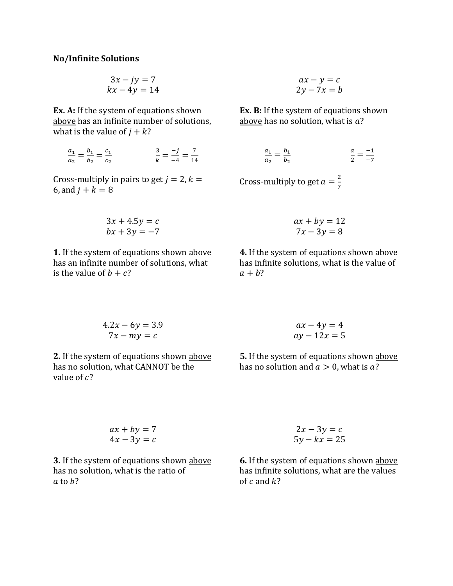## **No/Infinite Solutions**

$$
3x - jy = 7
$$
  

$$
kx - 4y = 14
$$

**Ex. A:** If the system of equations shown above has an infinite number of solutions, what is the value of  $j + k$ ?

$$
\frac{a_1}{a_2} = \frac{b_1}{b_2} = \frac{c_1}{c_2} \qquad \qquad \frac{3}{k} = \frac{-j}{-4} = \frac{7}{14}
$$

Cross-multiply in pairs to get  $j = 2, k =$ 6, and  $j + k = 8$ 

$$
3x + 4.5y = c
$$
  

$$
bx + 3y = -7
$$

**1.** If the system of equations shown above has an infinite number of solutions, what is the value of  $b + c$ ?

$$
ax - y = c
$$
  
2y - 7x = b

**Ex. B:** If the system of equations shown above has no solution, what is  $a$ ?

$$
\frac{a_1}{a_2} = \frac{b_1}{b_2} \qquad \frac{a}{2} = \frac{-1}{-7}
$$

Cross-multiply to get  $a=\frac{2}{5}$ 7

$$
ax + by = 12
$$

$$
7x - 3y = 8
$$

**4.** If the system of equations shown above has infinite solutions, what is the value of  $a + b$ ?

$$
4.2x - 6y = 3.9
$$

$$
7x - my = c
$$

**2.** If the system of equations shown above has no solution, what CANNOT be the value of  $c$ ?

$$
ax - 4y = 4
$$
  
ay - 12x = 5

**5.** If the system of equations shown above has no solution and  $a > 0$ , what is a?

$$
ax + by = 7
$$
  

$$
4x - 3y = c
$$

**3.** If the system of equations shown above has no solution, what is the ratio of  $a$  to  $b$ ?

$$
2x - 3y = c
$$
  

$$
5y - kx = 25
$$

**6.** If the system of equations shown above has infinite solutions, what are the values of  $c$  and  $k$ ?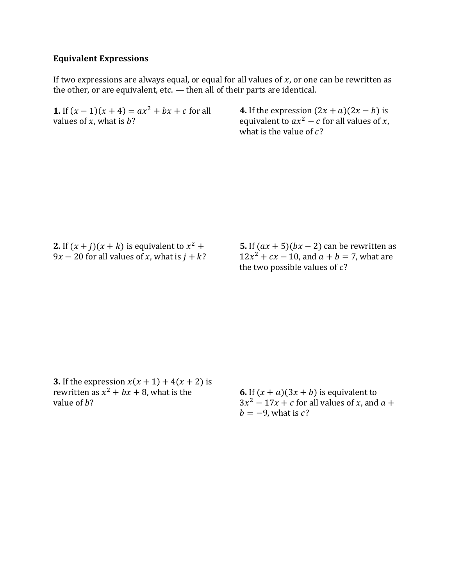## **Equivalent Expressions**

If two expressions are always equal, or equal for all values of  $x$ , or one can be rewritten as the other, or are equivalent, etc. — then all of their parts are identical.

**1.** If  $(x - 1)(x + 4) = ax^2 + bx + c$  for all values of  $x$ , what is  $b$ ?

**4.** If the expression  $(2x + a)(2x - b)$  is equivalent to  $ax^2 - c$  for all values of x, what is the value of  $c$ ?

**2.** If  $(x + j)(x + k)$  is equivalent to  $x^2 + j$  $9x - 20$  for all values of x, what is  $j + k$ ? **5.** If  $(ax + 5)(bx - 2)$  can be rewritten as  $12x^2 + cx - 10$ , and  $a + b = 7$ , what are the two possible values of  $c$ ?

**3.** If the expression  $x(x + 1) + 4(x + 2)$  is rewritten as  $x^2 + bx + 8$ , what is the value of  $h$ ?

**6.** If  $(x + a)(3x + b)$  is equivalent to  $3x^2 - 17x + c$  for all values of x, and  $a +$  $b = -9$ , what is c?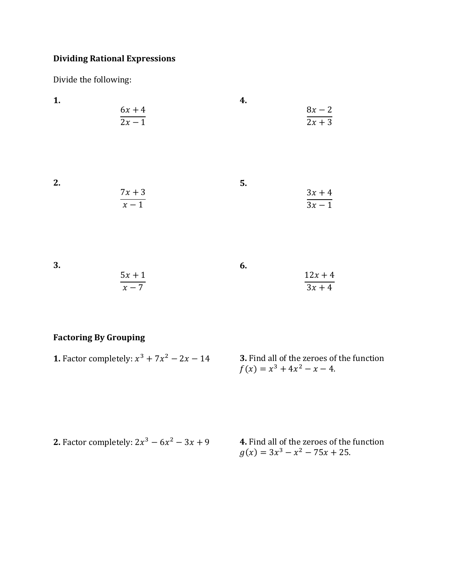# **Dividing Rational Expressions**

Divide the following:

| 1. | $6x + 4$<br>$\overline{2x-1}$ | 4. | $8x - 2$<br>$\overline{2x+3}$  |
|----|-------------------------------|----|--------------------------------|
| 2. | $\frac{7x+3}{x-1}$            | 5. | $3x + 4$<br>$\frac{1}{3x-1}$   |
| 3. | $5x+1$<br>$x-7$               | 6. | $12x + 4$<br>$\overline{3x+4}$ |

# **Factoring By Grouping**

| <b>1.</b> Factor completely: $x^3 + 7x^2 - 2x - 14$ | <b>3.</b> Find all of the zeroes of the function |
|-----------------------------------------------------|--------------------------------------------------|
|                                                     | $f(x) = x^3 + 4x^2 - x - 4.$                     |

| <b>2.</b> Factor completely: $2x^3 - 6x^2 - 3x + 9$ | 4. Find all of the zeroes of the function |  |
|-----------------------------------------------------|-------------------------------------------|--|
|                                                     | $g(x) = 3x^3 - x^2 - 75x + 25.$           |  |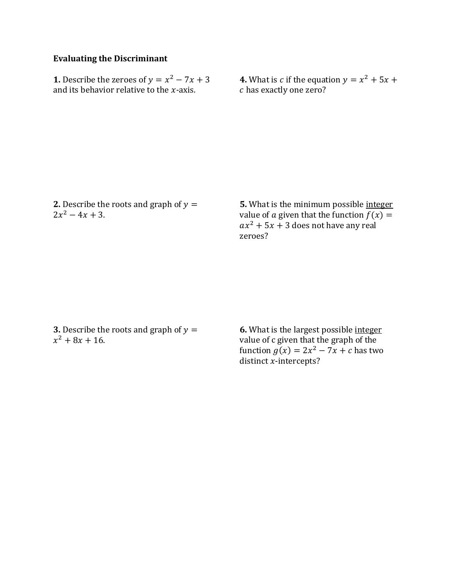# **Evaluating the Discriminant**

**1.** Describe the zeroes of  $y = x^2 - 7x + 3$ and its behavior relative to the  $x$ -axis.

**4.** What is *c* if the equation  $y = x^2 + 5x + 1$ has exactly one zero?

**2.** Describe the roots and graph of  $y =$  $2x^2 - 4x + 3$ .

**5.** What is the minimum possible integer value of *a* given that the function  $f(x) =$  $ax^2 + 5x + 3$  does not have any real zeroes?

**3.** Describe the roots and graph of  $y =$  $x^2 + 8x + 16$ .

**6.** What is the largest possible integer value of c given that the graph of the function  $g(x) = 2x^2 - 7x + c$  has two distinct  $x$ -intercepts?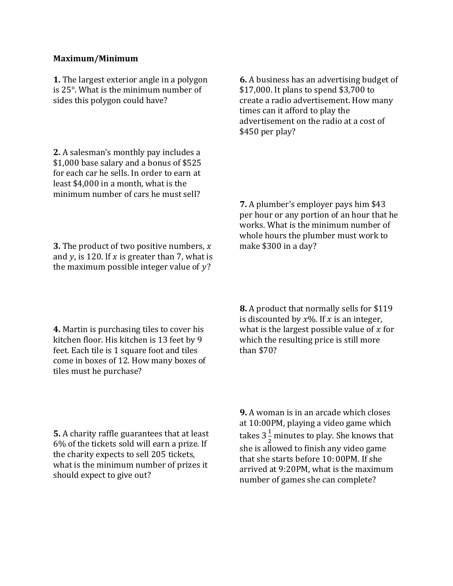### **Maximum/Minimum**

**1.** The largest exterior angle in a polygon is 25°. What is the minimum number of sides this polygon could have?

**2.** A salesman's monthly pay includes a \$1,000 base salary and a bonus of \$525 for each car he sells. In order to earn at least \$4,000 in a month, what is the minimum number of cars he must sell? **6.** A business has an advertising budget of \$17,000. It plans to spend \$3,700 to create a radio advertisement. How many times can it afford to play the advertisement on the radio at a cost of \$450 per play?

**7.** A plumber's employer pays him \$43 per hour or any portion of an hour that he works. What is the minimum number of whole hours the plumber must work to make \$300 in a day?

**3.** The product of two positive numbers, x and y, is 120. If x is greater than 7, what is the maximum possible integer value of  $y$ ?

**4.** Martin is purchasing tiles to cover his kitchen floor. His kitchen is 13 feet by 9 feet. Each tile is 1 square foot and tiles come in boxes of 12. How many boxes of tiles must he purchase?

**8.** A product that normally sells for \$119 is discounted by  $x\%$ . If x is an integer, what is the largest possible value of  $x$  for which the resulting price is still more than \$70?

**5.** A charity raffle guarantees that at least 6% of the tickets sold will earn a prize. If the charity expects to sell 205 tickets, what is the minimum number of prizes it should expect to give out?

**9.** A woman is in an arcade which closes at 10:00PM, playing a video game which takes  $3\frac{1}{3}$  $\frac{1}{2}$  minutes to play. She knows that she is allowed to finish any video game that she starts before 10: 00PM. If she arrived at 9:20PM, what is the maximum number of games she can complete?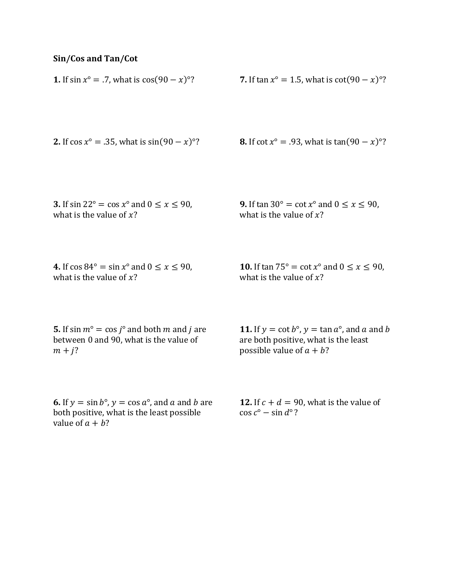# **Sin/Cos and Tan/Cot**

| <b>1.</b> If $\sin x^{\circ} = .7$ , what is $\cos(90 - x)^{\circ}$ ?                                                                     | <b>7.</b> If tan $x^{\circ} = 1.5$ , what is $\cot(90 - x)^{\circ}$ ?                    |
|-------------------------------------------------------------------------------------------------------------------------------------------|------------------------------------------------------------------------------------------|
| <b>2.</b> If $\cos x^{\circ} = .35$ , what is $\sin(90 - x)^{\circ}$ ?                                                                    | <b>8.</b> If $\cot x^{\circ} = .93$ , what is $\tan(90 - x)^{\circ}$ ?                   |
| 3. If $\sin 22^\circ = \cos x^\circ$ and $0 \le x \le 90$ ,                                                                               | <b>9.</b> If $\tan 30^\circ = \cot x^\circ$ and $0 \le x \le 90$ ,                       |
| what is the value of $x$ ?                                                                                                                | what is the value of $x$ ?                                                               |
| 4. If $\cos 84^\circ = \sin x^\circ$ and $0 \le x \le 90$ ,                                                                               | <b>10.</b> If $\tan 75^{\circ} = \cot x^{\circ}$ and $0 \le x \le 90$ ,                  |
| what is the value of $x$ ?                                                                                                                | what is the value of $x$ ?                                                               |
| <b>5.</b> If sin $m^{\circ} = \cos j^{\circ}$ and both m and j are                                                                        | <b>11.</b> If $y = \cot b^{\circ}$ , $y = \tan a^{\circ}$ , and a and b                  |
| between 0 and 90, what is the value of                                                                                                    | are both positive, what is the least                                                     |
| $m + j$ ?                                                                                                                                 | possible value of $a + b$ ?                                                              |
| <b>6.</b> If $y = \sin b^\circ$ , $y = \cos a^\circ$ , and a and b are<br>both positive, what is the least possible<br>value of $a + b$ ? | <b>12.</b> If $c + d = 90$ , what is the value of<br>$\cos c^{\circ} - \sin d^{\circ}$ ? |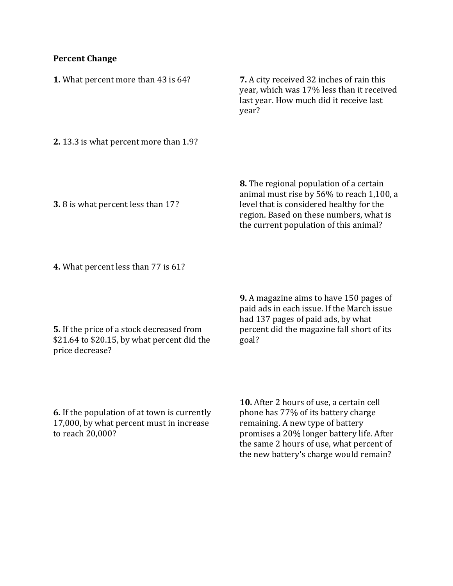# **Percent Change**

| 1. What percent more than 43 is 64?        | <b>7.</b> A city received 32 inches of rain this<br>year, which was 17% less than it received<br>last year. How much did it receive last<br>year?                                                                            |
|--------------------------------------------|------------------------------------------------------------------------------------------------------------------------------------------------------------------------------------------------------------------------------|
| 2. 13.3 is what percent more than 1.9?     |                                                                                                                                                                                                                              |
| <b>3.</b> 8 is what percent less than 17?  | <b>8.</b> The regional population of a certain<br>animal must rise by 56% to reach 1,100, a<br>level that is considered healthy for the<br>region. Based on these numbers, what is<br>the current population of this animal? |
| <b>4.</b> What percent less than 77 is 61? |                                                                                                                                                                                                                              |
|                                            | <b>9.</b> A magazine aims to have 150 pages of<br>naid ade in each issue If the March issue                                                                                                                                  |

**5.** If the price of a stock decreased from \$21.64 to \$20.15, by what percent did the price decrease?

paid ads in each issue. If the March issue had 137 pages of paid ads, by what percent did the magazine fall short of its goal?

**6.** If the population of at town is currently 17,000, by what percent must in increase to reach 20,000?

**10.** After 2 hours of use, a certain cell phone has 77% of its battery charge remaining. A new type of battery promises a 20% longer battery life. After the same 2 hours of use, what percent of the new battery's charge would remain?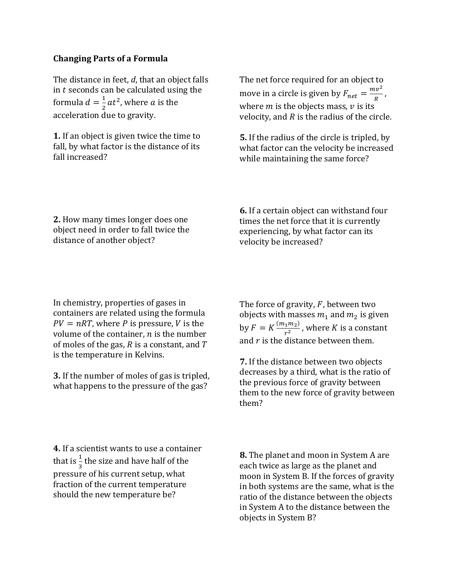## **Changing Parts of a Formula**

The distance in feet, *d*, that an object falls in  $t$  seconds can be calculated using the formula  $d=\frac{1}{3}$  $\frac{1}{2}at^2$ , where *a* is the acceleration due to gravity.

**1.** If an object is given twice the time to fall, by what factor is the distance of its fall increased?

The net force required for an object to move in a circle is given by  $F_{net} = \frac{mv^2}{R}$  $\frac{uv}{R}$ , where  $m$  is the objects mass,  $v$  is its velocity, and  *is the radius of the circle.* 

**5.** If the radius of the circle is tripled, by what factor can the velocity be increased while maintaining the same force?

**2.** How many times longer does one object need in order to fall twice the distance of another object?

**6.** If a certain object can withstand four times the net force that it is currently experiencing, by what factor can its velocity be increased?

In chemistry, properties of gases in containers are related using the formula  $PV = nRT$ , where P is pressure, V is the volume of the container,  $n$  is the number of moles of the gas,  $R$  is a constant, and  $T$ is the temperature in Kelvins.

**3.** If the number of moles of gas is tripled, what happens to the pressure of the gas?

**4.** If a scientist wants to use a container that is  $\frac{1}{3}$  the size and have half of the pressure of his current setup, what fraction of the current temperature should the new temperature be?

The force of gravity,  $F$ , between two objects with masses  $m_1$  and  $m_2$  is given by  $F = K \frac{(m_1 m_2)}{m^2}$  $\frac{1^{m_2}}{r^2}$ , where K is a constant and  $r$  is the distance between them.

**7.** If the distance between two objects decreases by a third, what is the ratio of the previous force of gravity between them to the new force of gravity between them?

**8.** The planet and moon in System A are each twice as large as the planet and moon in System B. If the forces of gravity in both systems are the same, what is the ratio of the distance between the objects in System A to the distance between the objects in System B?